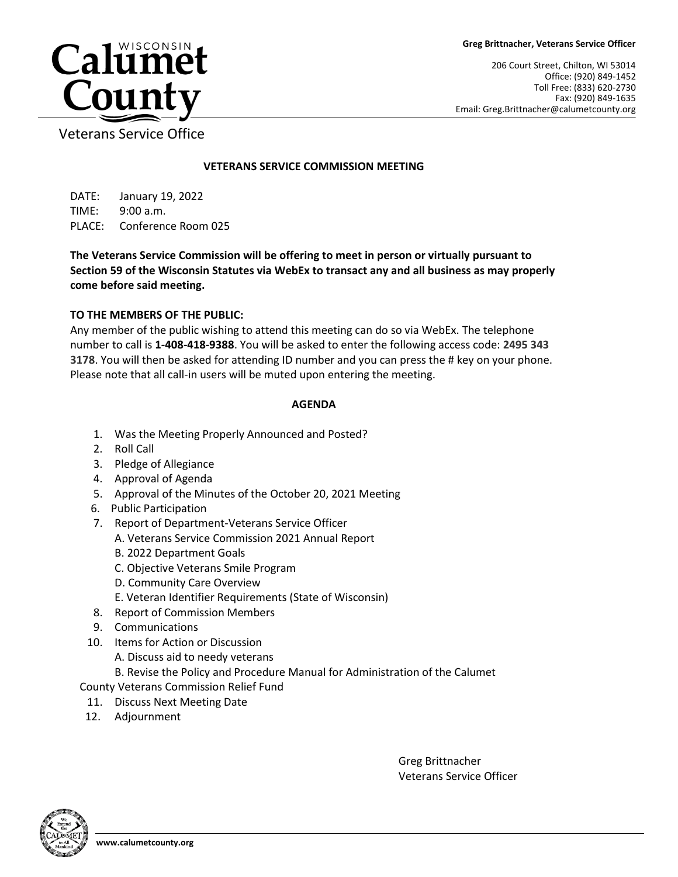206 Court Street, Chilton, WI 53014 Office: (920) 849-1452 Toll Free: (833) 620-2730 Fax: (920) 849-1635 Email: Greg.Brittnacher@calumetcounty.org



Veterans Service Office

## **VETERANS SERVICE COMMISSION MEETING**

DATE: January 19, 2022 TIME: 9:00 a.m. PLACE: Conference Room 025

**The Veterans Service Commission will be offering to meet in person or virtually pursuant to Section 59 of the Wisconsin Statutes via WebEx to transact any and all business as may properly come before said meeting.** 

## **TO THE MEMBERS OF THE PUBLIC:**

Any member of the public wishing to attend this meeting can do so via WebEx. The telephone number to call is **1-408-418-9388**. You will be asked to enter the following access code: **2495 343 3178**. You will then be asked for attending ID number and you can press the # key on your phone. Please note that all call-in users will be muted upon entering the meeting.

## **AGENDA**

- 1. Was the Meeting Properly Announced and Posted?
- 2. Roll Call
- 3. Pledge of Allegiance
- 4. Approval of Agenda
- 5. Approval of the Minutes of the October 20, 2021 Meeting
- 6. Public Participation
- 7. Report of Department-Veterans Service Officer
	- A. Veterans Service Commission 2021 Annual Report
	- B. 2022 Department Goals
	- C. Objective Veterans Smile Program
	- D. Community Care Overview
	- E. Veteran Identifier Requirements (State of Wisconsin)
- 8. Report of Commission Members
- 9. Communications
- 10. Items for Action or Discussion
	- A. Discuss aid to needy veterans
	- B. Revise the Policy and Procedure Manual for Administration of the Calumet

County Veterans Commission Relief Fund

- 11. Discuss Next Meeting Date
- 12. Adjournment

Greg Brittnacher Veterans Service Officer